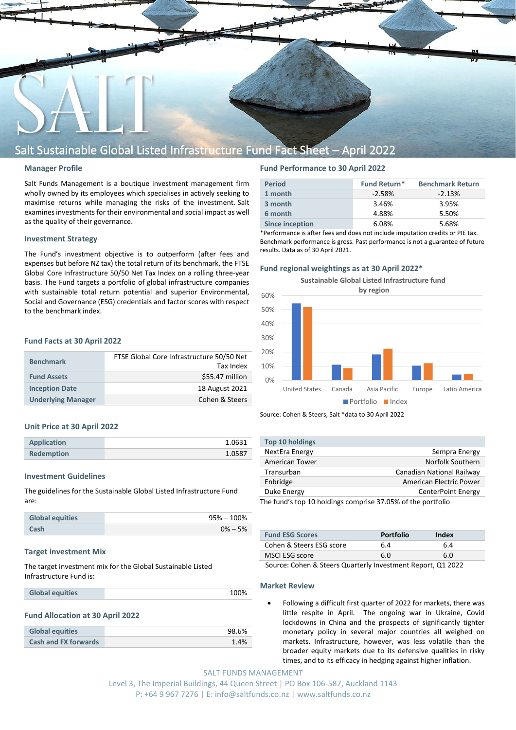

# Salt Sustainable Global Listed Infrastructure Fund Fact Sheet – April 2022

### **Manager Profile**

Salt Funds Management is a boutique investment management firm wholly owned by its employees which specialises in actively seeking to maximise returns while managing the risks of the investment. Salt examines investments for their environmental and social impact as well as the quality of their governance.

# **Investment Strategy**

The Fund's investment objective is to outperform (after fees and expenses but before NZ tax) the total return of its benchmark, the FTSE Global Core Infrastructure 50/50 Net Tax Index on a rolling three-year basis. The Fund targets a portfolio of global infrastructure companies with sustainable total return potential and superior Environmental, Social and Governance (ESG) credentials and factor scores with respect to the benchmark index.

# **Fund Facts at 30 April 2022**

| <b>Benchmark</b>          | FTSE Global Core Infrastructure 50/50 Net<br>Tax Index |
|---------------------------|--------------------------------------------------------|
| <b>Fund Assets</b>        | \$55.47 million                                        |
| <b>Inception Date</b>     | 18 August 2021                                         |
| <b>Underlying Manager</b> | Cohen & Steers                                         |

#### **Unit Price at 30 April 2022**

| <b>Application</b> | 1.0631 |
|--------------------|--------|
| <b>Redemption</b>  | 1.0587 |
|                    |        |

# **Investment Guidelines**

The guidelines for the Sustainable Global Listed Infrastructure Fund are:

| <b>Global equities</b> | 95% – 100%  |
|------------------------|-------------|
| Cash                   | $0\% - 5\%$ |

#### **Target investment Mix**

The target investment mix for the Global Sustainable Listed Infrastructure Fund is:

#### **Fund Allocation at 30 April 2022**

| <b>Global equities</b>      | 98.6% |
|-----------------------------|-------|
| <b>Cash and FX forwards</b> | 1.4%  |

# **Fund Performance to 30 April 2022**

| <b>Period</b>          | <b>Fund Return*</b> | <b>Benchmark Return</b> |
|------------------------|---------------------|-------------------------|
| 1 month                | $-2.58%$            | $-2.13%$                |
| 3 month                | 3.46%               | 3.95%                   |
| 6 month                | 4.88%               | 5.50%                   |
| <b>Since inception</b> | 6.08%               | 5.68%                   |
|                        |                     |                         |

\*Performance is after fees and does not include imputation credits or PIE tax. Benchmark performance is gross. Past performance is not a guarantee of future results. Data as of 30 April 2021.

#### **Fund regional weightings as at 30 April 2022\***

20% 30% 40% 50% 60% **Sustainable Global Listed Infrastructure fund by region**

 $\Omega\%$ United States Canada Asia Pacific Europe Latin America **Portfolio** Index

Source: Cohen & Steers, Salt \*data to 30 April 2022

| Top 10 holdings                                             |                           |
|-------------------------------------------------------------|---------------------------|
| NextEra Energy                                              | Sempra Energy             |
| American Tower                                              | Norfolk Southern          |
| Transurban                                                  | Canadian National Railway |
| Enbridge                                                    | American Electric Power   |
| Duke Energy                                                 | CenterPoint Energy        |
| The fund's ton 10 holdings comprise 37 05% of the portfolio |                           |

10 holdings comprise 37.05% of the portfolio

| <b>Portfolio</b> | Index |
|------------------|-------|
| 6.4              | 6.4   |
| 6.0              | 6.0   |
|                  |       |

Source: Cohen & Steers Quarterly Investment Report, Q1 2022

#### **Market Review**

10%

• Following a difficult first quarter of 2022 for markets, there was little respite in April. The ongoing war in Ukraine, Covid lockdowns in China and the prospects of significantly tighter monetary policy in several major countries all weighed on markets. Infrastructure, however, was less volatile than the broader equity markets due to its defensive qualities in risky times, and to its efficacy in hedging against higher inflation.

SALT FUNDS MANAGEMENT Level 3, The Imperial Buildings, 44 Queen Street | PO Box 106-587, Auckland 1143 P: +64 9 967 7276 | E: info@saltfunds.co.nz | www.saltfunds.co.nz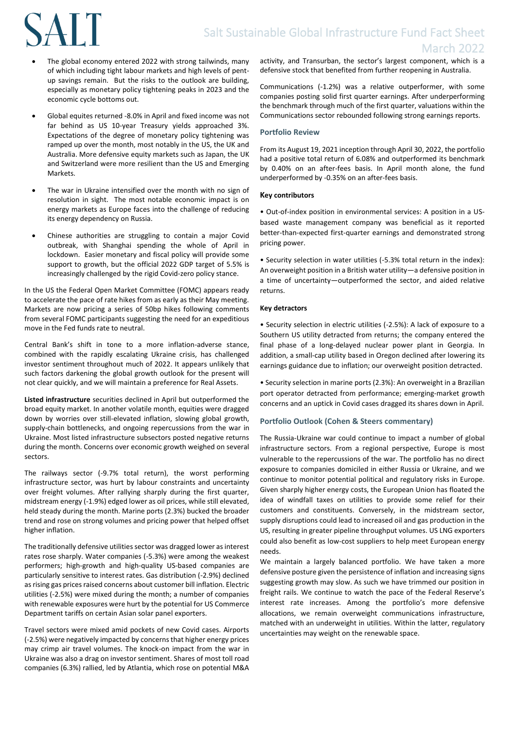# **SALT**

- The global economy entered 2022 with strong tailwinds, many of which including tight labour markets and high levels of pentup savings remain. But the risks to the outlook are building, especially as monetary policy tightening peaks in 2023 and the economic cycle bottoms out.
- Global equites returned -8.0% in April and fixed income was not far behind as US 10-year Treasury yields approached 3%. Expectations of the degree of monetary policy tightening was ramped up over the month, most notably in the US, the UK and Australia. More defensive equity markets such as Japan, the UK and Switzerland were more resilient than the US and Emerging Markets.
- The war in Ukraine intensified over the month with no sign of resolution in sight. The most notable economic impact is on energy markets as Europe faces into the challenge of reducing its energy dependency on Russia.
- Chinese authorities are struggling to contain a major Covid outbreak, with Shanghai spending the whole of April in lockdown. Easier monetary and fiscal policy will provide some support to growth, but the official 2022 GDP target of 5.5% is increasingly challenged by the rigid Covid-zero policy stance.

In the US the Federal Open Market Committee (FOMC) appears ready to accelerate the pace of rate hikes from as early as their May meeting. Markets are now pricing a series of 50bp hikes following comments from several FOMC participants suggesting the need for an expeditious move in the Fed funds rate to neutral.

Central Bank's shift in tone to a more inflation-adverse stance, combined with the rapidly escalating Ukraine crisis, has challenged investor sentiment throughout much of 2022. It appears unlikely that such factors darkening the global growth outlook for the present will not clear quickly, and we will maintain a preference for Real Assets.

**Listed infrastructure** securities declined in April but outperformed the broad equity market. In another volatile month, equities were dragged down by worries over still-elevated inflation, slowing global growth, supply-chain bottlenecks, and ongoing repercussions from the war in Ukraine. Most listed infrastructure subsectors posted negative returns during the month. Concerns over economic growth weighed on several sectors.

The railways sector (-9.7% total return), the worst performing infrastructure sector, was hurt by labour constraints and uncertainty over freight volumes. After rallying sharply during the first quarter, midstream energy (-1.9%) edged lower as oil prices, while still elevated, held steady during the month. Marine ports (2.3%) bucked the broader trend and rose on strong volumes and pricing power that helped offset higher inflation.

The traditionally defensive utilities sector was dragged lower as interest rates rose sharply. Water companies (-5.3%) were among the weakest performers; high-growth and high-quality US-based companies are particularly sensitive to interest rates. Gas distribution (-2.9%) declined as rising gas prices raised concerns about customer bill inflation. Electric utilities (-2.5%) were mixed during the month; a number of companies with renewable exposures were hurt by the potential for US Commerce Department tariffs on certain Asian solar panel exporters.

Travel sectors were mixed amid pockets of new Covid cases. Airports (-2.5%) were negatively impacted by concerns that higher energy prices may crimp air travel volumes. The knock-on impact from the war in Ukraine was also a drag on investor sentiment. Shares of most toll road companies (6.3%) rallied, led by Atlantia, which rose on potential M&A activity, and Transurban, the sector's largest component, which is a defensive stock that benefited from further reopening in Australia.

Communications (-1.2%) was a relative outperformer, with some companies posting solid first quarter earnings. After underperforming the benchmark through much of the first quarter, valuations within the Communications sector rebounded following strong earnings reports.

# **Portfolio Review**

From its August 19, 2021 inception through April 30, 2022, the portfolio had a positive total return of 6.08% and outperformed its benchmark by 0.40% on an after-fees basis. In April month alone, the fund underperformed by -0.35% on an after-fees basis.

# **Key contributors**

• Out-of-index position in environmental services: A position in a USbased waste management company was beneficial as it reported better-than-expected first-quarter earnings and demonstrated strong pricing power.

• Security selection in water utilities (-5.3% total return in the index): An overweight position in a British water utility—a defensive position in a time of uncertainty—outperformed the sector, and aided relative returns.

# **Key detractors**

• Security selection in electric utilities (-2.5%): A lack of exposure to a Southern US utility detracted from returns; the company entered the final phase of a long-delayed nuclear power plant in Georgia. In addition, a small-cap utility based in Oregon declined after lowering its earnings guidance due to inflation; our overweight position detracted.

• Security selection in marine ports (2.3%): An overweight in a Brazilian port operator detracted from performance; emerging-market growth concerns and an uptick in Covid cases dragged its shares down in April.

# **Portfolio Outlook (Cohen & Steers commentary)**

The Russia-Ukraine war could continue to impact a number of global infrastructure sectors. From a regional perspective, Europe is most vulnerable to the repercussions of the war. The portfolio has no direct exposure to companies domiciled in either Russia or Ukraine, and we continue to monitor potential political and regulatory risks in Europe. Given sharply higher energy costs, the European Union has floated the idea of windfall taxes on utilities to provide some relief for their customers and constituents. Conversely, in the midstream sector, supply disruptions could lead to increased oil and gas production in the US, resulting in greater pipeline throughput volumes. US LNG exporters could also benefit as low-cost suppliers to help meet European energy needs.

We maintain a largely balanced portfolio. We have taken a more defensive posture given the persistence of inflation and increasing signs suggesting growth may slow. As such we have trimmed our position in freight rails. We continue to watch the pace of the Federal Reserve's interest rate increases. Among the portfolio's more defensive allocations, we remain overweight communications infrastructure, matched with an underweight in utilities. Within the latter, regulatory uncertainties may weight on the renewable space.